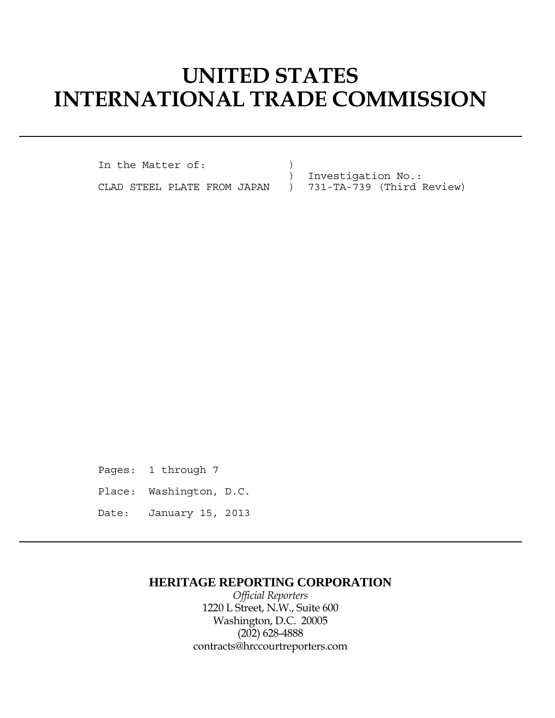# **UNITED STATES INTERNATIONAL TRADE COMMISSION**

In the Matter of:  $)$ 

 ) Investigation No.: CLAD STEEL PLATE FROM JAPAN ) 731-TA-739 (Third Review)

Pages: 1 through 7 Place: Washington, D.C. Date: January 15, 2013

## **HERITAGE REPORTING CORPORATION**

*Official Reporters* 1220 L Street, N.W., Suite 600 Washington, D.C. 20005 (202) 628-4888 contracts@hrccourtreporters.com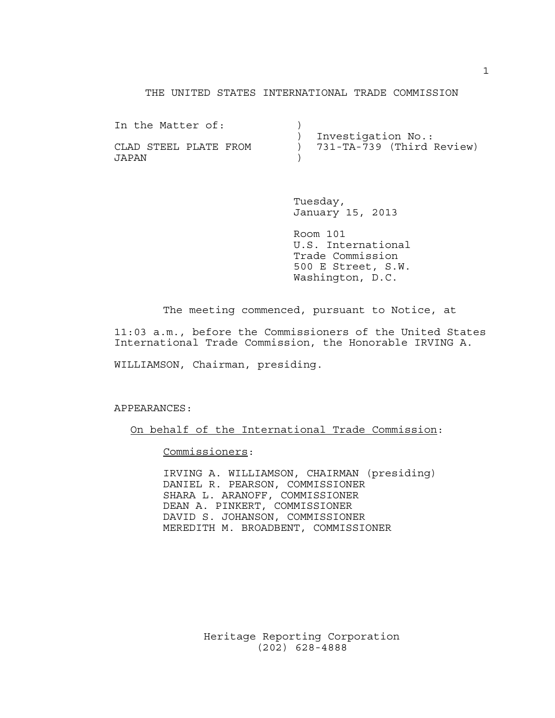#### THE UNITED STATES INTERNATIONAL TRADE COMMISSION

In the Matter of:  $)$  ) Investigation No.: CLAD STEEL PLATE FROM ) 731-TA-739 (Third Review) JAPAN )

> Tuesday, January 15, 2013

 Room 101 U.S. International Trade Commission 500 E Street, S.W. Washington, D.C.

The meeting commenced, pursuant to Notice, at

11:03 a.m., before the Commissioners of the United States International Trade Commission, the Honorable IRVING A.

WILLIAMSON, Chairman, presiding.

#### APPEARANCES:

On behalf of the International Trade Commission:

Commissioners:

 IRVING A. WILLIAMSON, CHAIRMAN (presiding) DANIEL R. PEARSON, COMMISSIONER SHARA L. ARANOFF, COMMISSIONER DEAN A. PINKERT, COMMISSIONER DAVID S. JOHANSON, COMMISSIONER MEREDITH M. BROADBENT, COMMISSIONER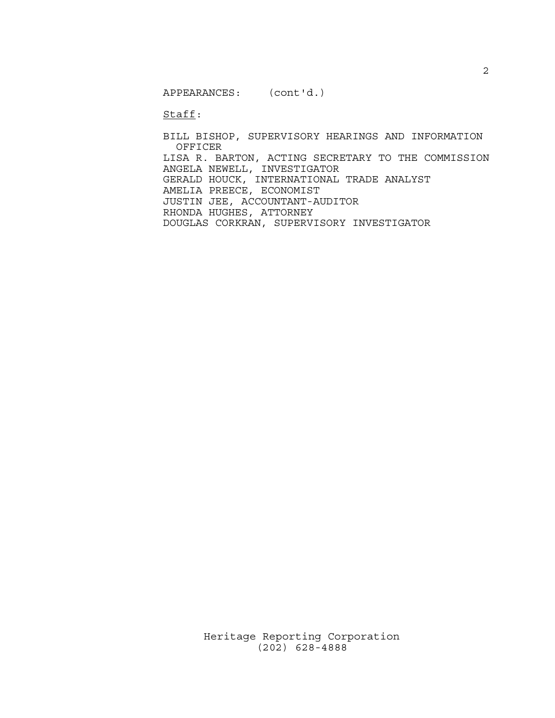APPEARANCES: (cont'd.)

Staff:

 BILL BISHOP, SUPERVISORY HEARINGS AND INFORMATION OFFICER LISA R. BARTON, ACTING SECRETARY TO THE COMMISSION ANGELA NEWELL, INVESTIGATOR GERALD HOUCK, INTERNATIONAL TRADE ANALYST AMELIA PREECE, ECONOMIST JUSTIN JEE, ACCOUNTANT-AUDITOR RHONDA HUGHES, ATTORNEY DOUGLAS CORKRAN, SUPERVISORY INVESTIGATOR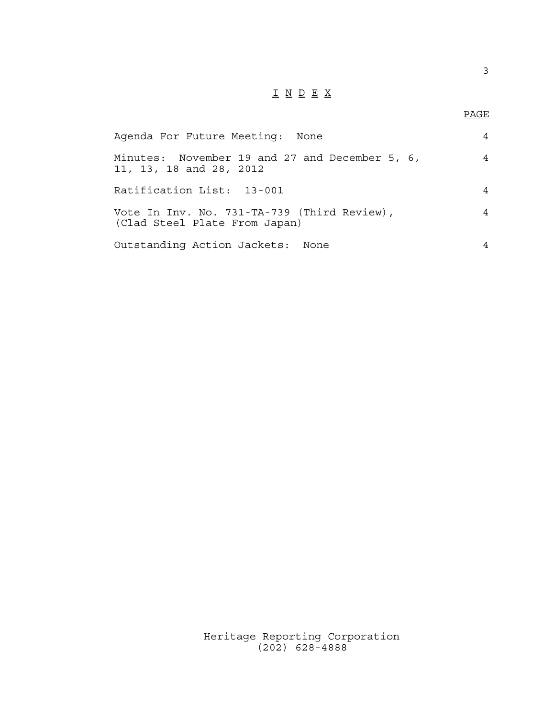## I N D E X

3

| Agenda For Future Meeting:<br>None                                           |   |
|------------------------------------------------------------------------------|---|
| Minutes: November 19 and 27 and December 5, 6,<br>11, 13, 18 and 28, 2012    | 4 |
| Ratification List: 13-001                                                    | 4 |
| Vote In Inv. No. 731-TA-739 (Third Review),<br>(Clad Steel Plate From Japan) | 4 |
| Outstanding Action Jackets: None                                             | 4 |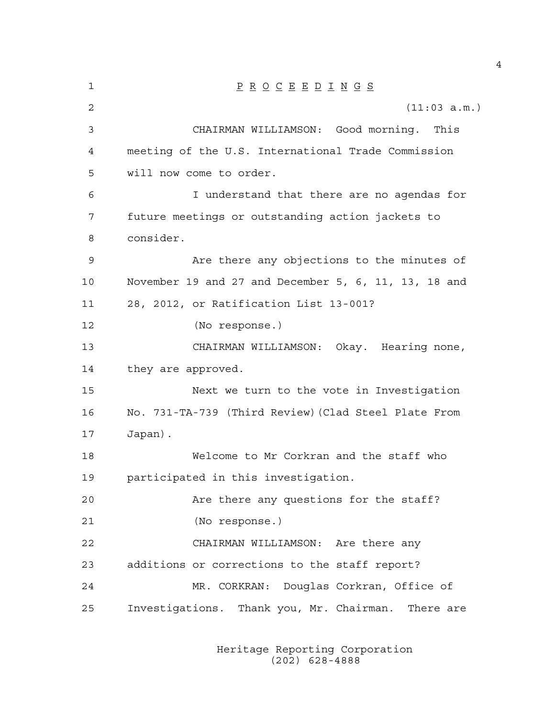1 P R O C E E D I N G S 2 (11:03 a.m.) 3 CHAIRMAN WILLIAMSON: Good morning. This 4 meeting of the U.S. International Trade Commission 5 will now come to order. 6 I understand that there are no agendas for 7 future meetings or outstanding action jackets to 8 consider. 9 Are there any objections to the minutes of 10 November 19 and 27 and December 5, 6, 11, 13, 18 and 11 28, 2012, or Ratification List 13-001? 12 (No response.) 13 CHAIRMAN WILLIAMSON: Okay. Hearing none, 14 they are approved. 15 Next we turn to the vote in Investigation 16 No. 731-TA-739 (Third Review)(Clad Steel Plate From 17 Japan). 18 Welcome to Mr Corkran and the staff who 19 participated in this investigation. 20 Are there any questions for the staff? 21 (No response.) 22 CHAIRMAN WILLIAMSON: Are there any 23 additions or corrections to the staff report? 24 MR. CORKRAN: Douglas Corkran, Office of 25 Investigations. Thank you, Mr. Chairman. There are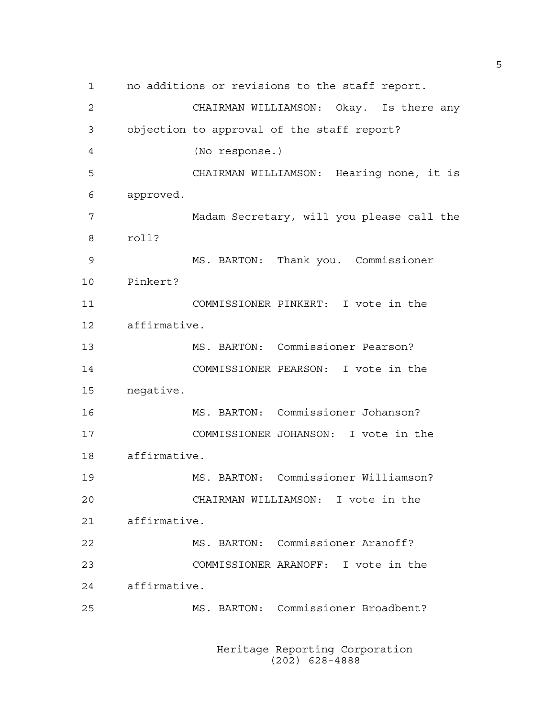1 no additions or revisions to the staff report. 2 CHAIRMAN WILLIAMSON: Okay. Is there any 3 objection to approval of the staff report? 4 (No response.) 5 CHAIRMAN WILLIAMSON: Hearing none, it is 6 approved. 7 Madam Secretary, will you please call the 8 roll? 9 MS. BARTON: Thank you. Commissioner 10 Pinkert? 11 COMMISSIONER PINKERT: I vote in the 12 affirmative. 13 MS. BARTON: Commissioner Pearson? 14 COMMISSIONER PEARSON: I vote in the 15 negative. 16 MS. BARTON: Commissioner Johanson? 17 COMMISSIONER JOHANSON: I vote in the 18 affirmative. 19 MS. BARTON: Commissioner Williamson? 20 CHAIRMAN WILLIAMSON: I vote in the 21 affirmative. 22 MS. BARTON: Commissioner Aranoff? 23 COMMISSIONER ARANOFF: I vote in the 24 affirmative. 25 MS. BARTON: Commissioner Broadbent?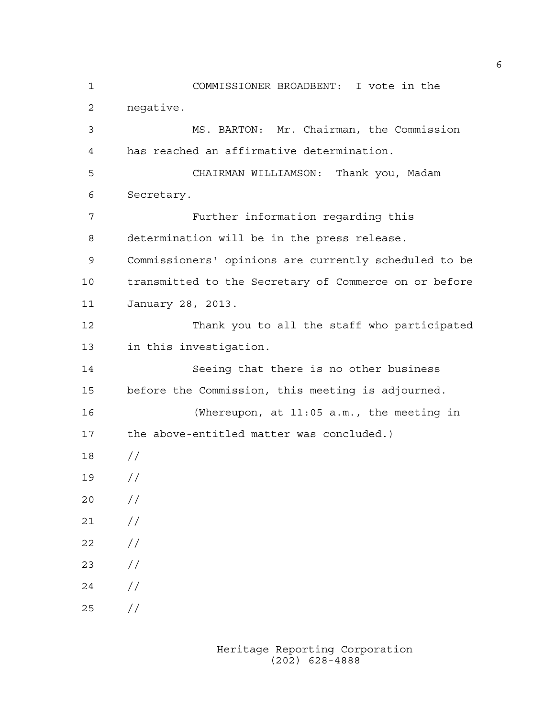1 COMMISSIONER BROADBENT: I vote in the 2 negative. 3 MS. BARTON: Mr. Chairman, the Commission 4 has reached an affirmative determination. 5 CHAIRMAN WILLIAMSON: Thank you, Madam 6 Secretary. 7 Further information regarding this 8 determination will be in the press release. 9 Commissioners' opinions are currently scheduled to be 10 transmitted to the Secretary of Commerce on or before 11 January 28, 2013. 12 Thank you to all the staff who participated 13 in this investigation. 14 Seeing that there is no other business 15 before the Commission, this meeting is adjourned. 16 (Whereupon, at 11:05 a.m., the meeting in 17 the above-entitled matter was concluded.) 18 // 19 // 20 // 21 // 22 // 23 // 24 // 25 //